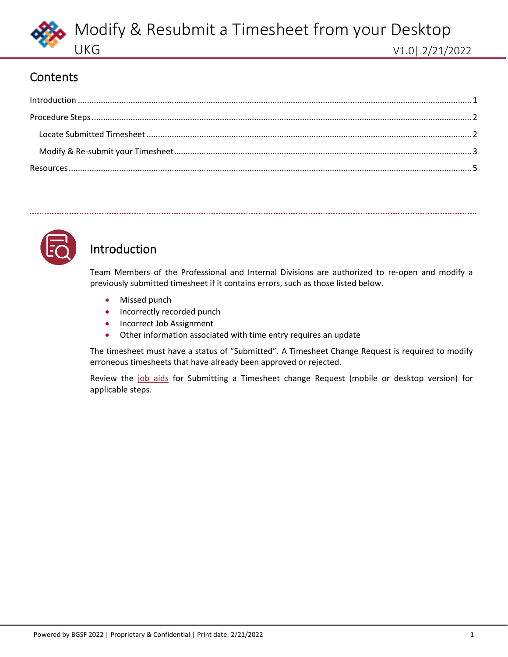

### **Contents**

<span id="page-0-1"></span>

| $\label{eq:1} \mbox{Introduction} \,\, \ldots \,\, \ldots \,\, \ldots \,\, \ldots \,\, \ldots \,\, \ldots \,\, \ldots \,\, \ldots \,\, \ldots \,\, \ldots \,\, \ldots \,\, \ldots \,\, \ldots \,\, \ldots \,\, \ldots \,\, \ldots \,\, \ldots \,\, \ldots \,\, \ldots \,\, \ldots \,\, \ldots \,\, \ldots \,\, \ldots \,\, \ldots \,\, \ldots \,\, \ldots \,\, \ldots \,\, \ldots \,\, \ldots \,\, \ldots \,\, \ldots \,\, \ldots \,\, \ldots \,\, \ldots \,\,$ |  |
|-----------------------------------------------------------------------------------------------------------------------------------------------------------------------------------------------------------------------------------------------------------------------------------------------------------------------------------------------------------------------------------------------------------------------------------------------------------------|--|
|                                                                                                                                                                                                                                                                                                                                                                                                                                                                 |  |
|                                                                                                                                                                                                                                                                                                                                                                                                                                                                 |  |
|                                                                                                                                                                                                                                                                                                                                                                                                                                                                 |  |
|                                                                                                                                                                                                                                                                                                                                                                                                                                                                 |  |



## <span id="page-0-0"></span>Introduction

Team Members of the Professional and Internal Divisions are authorized to re-open and modify a previously submitted timesheet if it contains errors, such as those listed below.

- Missed punch
- Incorrectly recorded punch
- Incorrect Job Assignment
- Other information associated with time entry requires an update

The timesheet must have a status of "Submitted". A Timesheet Change Request is required to modify erroneous timesheets that have already been approved or rejected.

Review the [job aids](#page-4-0) for Submitting a Timesheet change Request (mobile or desktop version) for applicable steps.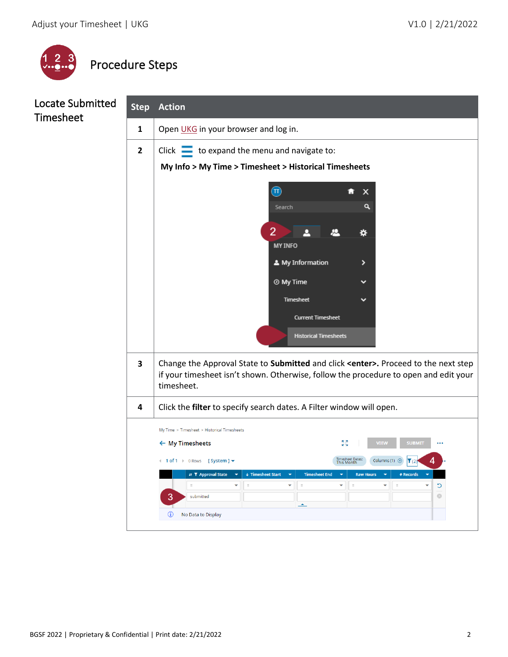

<span id="page-1-0"></span>

### <span id="page-1-1"></span>Locate Submitted Timesheet

| <b>Step</b>  | <b>Action</b>                                                                                                                                                                                                                                                |  |  |  |  |  |  |
|--------------|--------------------------------------------------------------------------------------------------------------------------------------------------------------------------------------------------------------------------------------------------------------|--|--|--|--|--|--|
| 1            | Open UKG in your browser and log in.                                                                                                                                                                                                                         |  |  |  |  |  |  |
| $\mathbf{2}$ | Click $\equiv$ to expand the menu and navigate to:                                                                                                                                                                                                           |  |  |  |  |  |  |
|              | My Info > My Time > Timesheet > Historical Timesheets                                                                                                                                                                                                        |  |  |  |  |  |  |
|              | $\left  \Pi \right\rangle$<br>x                                                                                                                                                                                                                              |  |  |  |  |  |  |
|              | ۹<br>Search                                                                                                                                                                                                                                                  |  |  |  |  |  |  |
|              | 2                                                                                                                                                                                                                                                            |  |  |  |  |  |  |
|              | ☆<br><b>MY INFO</b>                                                                                                                                                                                                                                          |  |  |  |  |  |  |
|              | A My Information                                                                                                                                                                                                                                             |  |  |  |  |  |  |
|              | <b>@</b> My Time                                                                                                                                                                                                                                             |  |  |  |  |  |  |
|              | Timesheet                                                                                                                                                                                                                                                    |  |  |  |  |  |  |
|              | <b>Current Timesheet</b>                                                                                                                                                                                                                                     |  |  |  |  |  |  |
|              | <b>Historical Timesheets</b>                                                                                                                                                                                                                                 |  |  |  |  |  |  |
|              |                                                                                                                                                                                                                                                              |  |  |  |  |  |  |
| 3            | Change the Approval State to Submitted and click <enter>. Proceed to the next step<br/>if your timesheet isn't shown. Otherwise, follow the procedure to open and edit your</enter>                                                                          |  |  |  |  |  |  |
|              | timesheet.                                                                                                                                                                                                                                                   |  |  |  |  |  |  |
| 4            | Click the filter to specify search dates. A Filter window will open.                                                                                                                                                                                         |  |  |  |  |  |  |
|              | My Time > Timesheet > Historical Timesheets                                                                                                                                                                                                                  |  |  |  |  |  |  |
|              | גא<br>צ<br><b>VIEW</b><br><b>SUBMIT</b><br>$\leftarrow$ My Timesheets                                                                                                                                                                                        |  |  |  |  |  |  |
|              | Timesheet Dates <mark>:</mark><br>This Month<br>Columns (1) $\circledR$<br>4 1 of 1 → 0 Rows [System ] $\blacktriangledown$<br>$\mathbf{V}(2)$                                                                                                               |  |  |  |  |  |  |
|              | $\downarrow$ Timesheet Start<br><b>Timesheet End</b><br><b>Raw Hours</b><br># Records<br><b>It Y Approval State</b><br>$\overline{\phantom{0}}$<br>$\overline{\phantom{0}}$<br>$\equiv$<br>$\equiv$<br>÷<br>$\equiv$<br>$\overline{a}$<br>٠<br>$\equiv$<br>C |  |  |  |  |  |  |
|              | $\odot$<br>3<br>submitted<br>$\blacktriangle$                                                                                                                                                                                                                |  |  |  |  |  |  |
|              | $^\circledR$<br>No Data to Display                                                                                                                                                                                                                           |  |  |  |  |  |  |
|              |                                                                                                                                                                                                                                                              |  |  |  |  |  |  |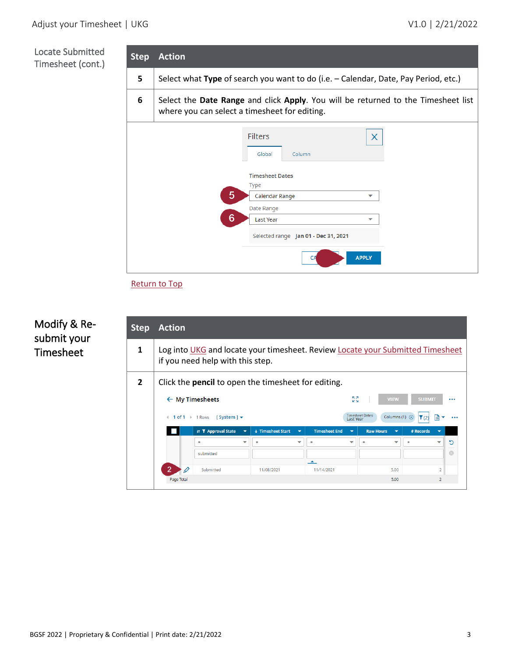### Locate Submitted Timesheet (cont.)



#### [Return to Top](#page-0-1)

### <span id="page-2-0"></span>Modify & Resubmit your Timesheet

| <b>Step</b>    | <b>Action</b>                                                                                                                                               |                            |                                               |                                                  |                          |                                       |                |    |
|----------------|-------------------------------------------------------------------------------------------------------------------------------------------------------------|----------------------------|-----------------------------------------------|--------------------------------------------------|--------------------------|---------------------------------------|----------------|----|
| 1              | Log into UKG and locate your timesheet. Review Locate your Submitted Timesheet<br>if you need help with this step.                                          |                            |                                               |                                                  |                          |                                       |                |    |
| $\overline{2}$ | Click the <b>pencil</b> to open the timesheet for editing.                                                                                                  |                            |                                               |                                                  |                          |                                       |                |    |
|                | $\leftarrow$ My Timesheets                                                                                                                                  |                            |                                               |                                                  |                          | <b>KA</b><br><b>VIEW</b><br><b>KN</b> | <b>SUBMIT</b>  |    |
|                | <b>Timesheet Dates:</b><br>Columns (1) $\otimes$<br>$1 of 1$   1 Rows<br>圖<br>[ System ] $\blacktriangledown$<br>Y(2)<br>$\overline{a}$<br><b>Last Year</b> |                            |                                               |                                                  |                          |                                       |                |    |
|                |                                                                                                                                                             | <b>It Y</b> Approval State | ↓ Timesheet Start<br>$\overline{\phantom{a}}$ | <b>Timesheet End</b><br>$\overline{\phantom{0}}$ | $\overline{\phantom{0}}$ | <b>Raw Hours</b><br>⇁                 | # Records      |    |
|                |                                                                                                                                                             | $\equiv$                   | ▼<br>$=$                                      | $\blacktriangledown$<br>$=$                      | ▼                        | $\checkmark$<br>$=$                   | $=$            | כי |
|                |                                                                                                                                                             | submitted                  |                                               |                                                  |                          |                                       |                | ø  |
|                | $\overline{2}$                                                                                                                                              | Submitted                  | 11/08/2021                                    | $\blacktriangle$<br>11/14/2021                   |                          | 5.00                                  | $\overline{2}$ |    |
|                | Page Total                                                                                                                                                  |                            |                                               |                                                  |                          | 5.00                                  | $\overline{2}$ |    |
|                |                                                                                                                                                             |                            |                                               |                                                  |                          |                                       |                |    |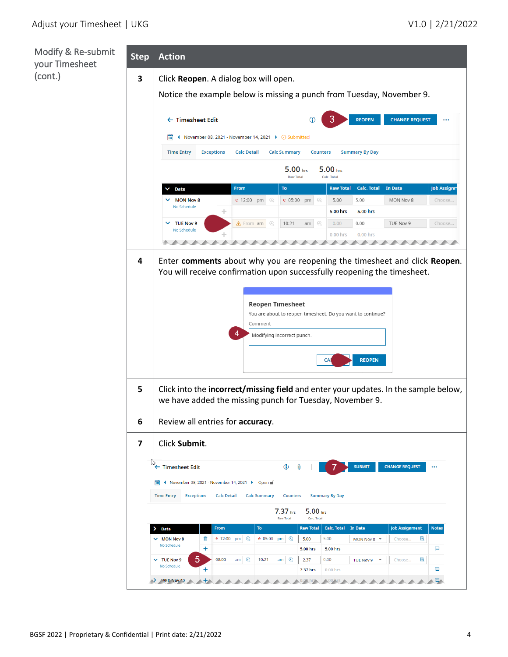